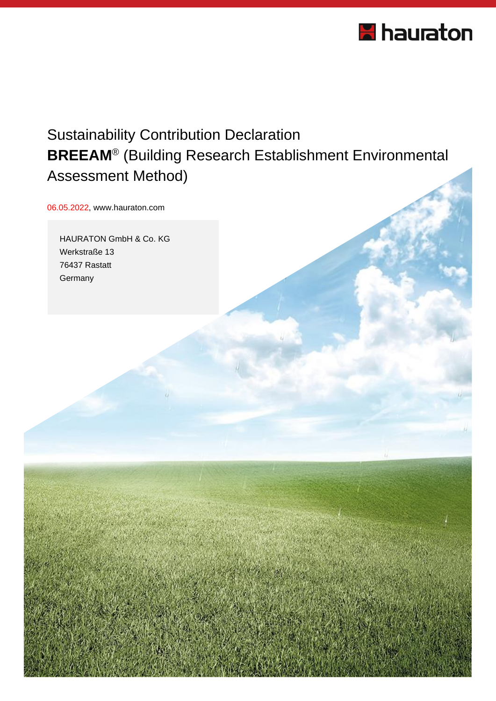

## Sustainability Contribution Declaration **BREEAM**® (Building Research Establishment Environmental Assessment Method)

06.05.2022, www.hauraton.com

HAURATON GmbH & Co. KG Werkstraße 13 76437 Rastatt **Germany**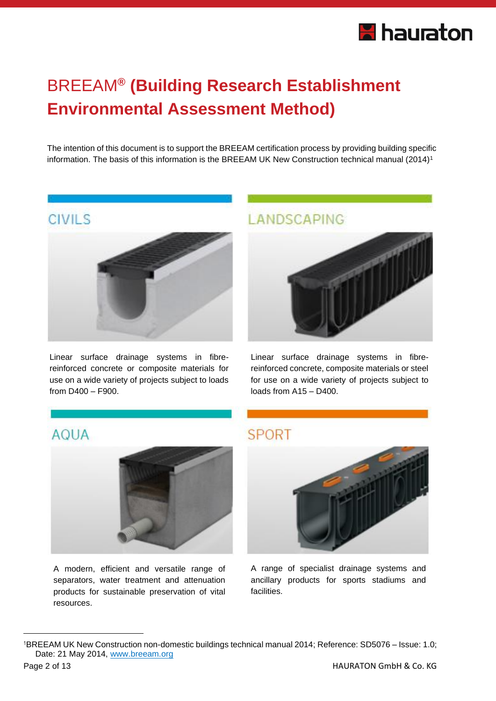# **H** hauraton

# BREEAM**® (Building Research Establishment Environmental Assessment Method)**

The intention of this document is to support the BREEAM certification process by providing building specific information. The basis of this information is the BREEAM UK New Construction technical manual (2014)<sup>1</sup>

## **CIVILS**



Linear surface drainage systems in fibrereinforced concrete or composite materials for use on a wide variety of projects subject to loads from D400 – F900.

## LANDSCAPING



Linear surface drainage systems in fibrereinforced concrete, composite materials or steel for use on a wide variety of projects subject to loads from A15 – D400.

### **AQUA**



A modern, efficient and versatile range of separators, water treatment and attenuation products for sustainable preservation of vital resources.

### **SPORT**



A range of specialist drainage systems and ancillary products for sports stadiums and facilities.

<sup>1</sup>BREEAM UK New Construction non-domestic buildings technical manual 2014; Reference: SD5076 – Issue: 1.0; Date: 21 May 2014, [www.breeam.org](http://www.breeam.org/)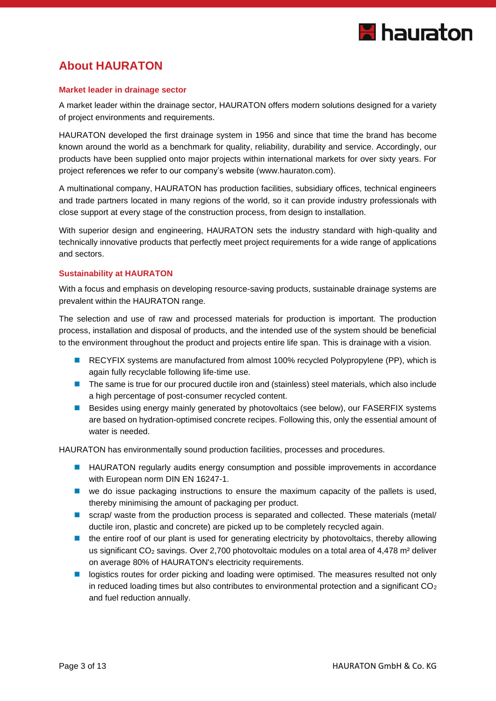

### **About HAURATON**

#### **Market leader in drainage sector**

A market leader within the drainage sector, HAURATON offers modern solutions designed for a variety of project environments and requirements.

HAURATON developed the first drainage system in 1956 and since that time the brand has become known around the world as a benchmark for quality, reliability, durability and service. Accordingly, our products have been supplied onto major projects within international markets for over sixty years. For project references we refer to our company's website [\(www.hauraton.com\)](http://www.hauraton.com/).

A multinational company, HAURATON has production facilities, subsidiary offices, technical engineers and trade partners located in many regions of the world, so it can provide industry professionals with close support at every stage of the construction process, from design to installation.

With superior design and engineering, HAURATON sets the industry standard with high-quality and technically innovative products that perfectly meet project requirements for a wide range of applications and sectors.

#### **Sustainability at HAURATON**

With a focus and emphasis on developing resource-saving products, sustainable drainage systems are prevalent within the HAURATON range.

The selection and use of raw and processed materials for production is important. The production process, installation and disposal of products, and the intended use of the system should be beneficial to the environment throughout the product and projects entire life span. This is drainage with a vision.

- RECYFIX systems are manufactured from almost 100% recycled Polypropylene (PP), which is again fully recyclable following life-time use.
- The same is true for our procured ductile iron and (stainless) steel materials, which also include a high percentage of post-consumer recycled content.
- Besides using energy mainly generated by photovoltaics (see below), our FASERFIX systems are based on hydration-optimised concrete recipes. Following this, only the essential amount of water is needed.

HAURATON has environmentally sound production facilities, processes and procedures.

- HAURATON regularly audits energy consumption and possible improvements in accordance with European norm DIN EN 16247-1.
- we do issue packaging instructions to ensure the maximum capacity of the pallets is used, thereby minimising the amount of packaging per product.
- scrap/ waste from the production process is separated and collected. These materials (metal/ ductile iron, plastic and concrete) are picked up to be completely recycled again.
- the entire roof of our plant is used for generating electricity by photovoltaics, thereby allowing us significant CO<sub>2</sub> savings. Over 2,700 photovoltaic modules on a total area of 4,478 m<sup>2</sup> deliver on average 80% of HAURATON's electricity requirements.
- logistics routes for order picking and loading were optimised. The measures resulted not only in reduced loading times but also contributes to environmental protection and a significant  $CO<sub>2</sub>$ and fuel reduction annually.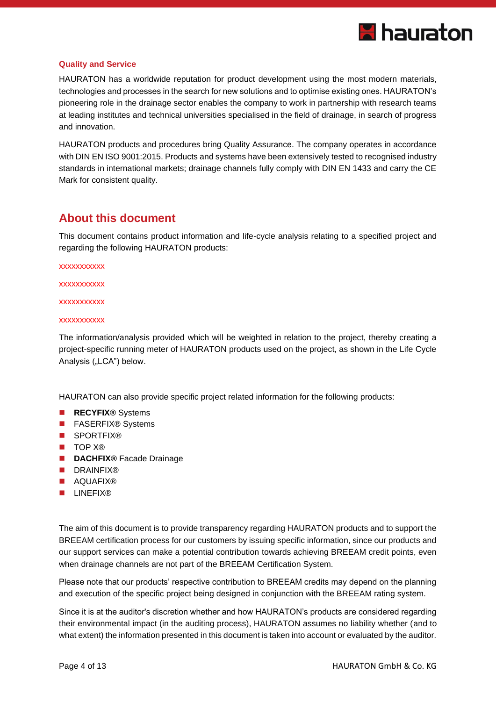

#### **Quality and Service**

HAURATON has a worldwide reputation for product development using the most modern materials, technologies and processes in the search for new solutions and to optimise existing ones. HAURATON's pioneering role in the drainage sector enables the company to work in partnership with research teams at leading institutes and technical universities specialised in the field of drainage, in search of progress and innovation.

HAURATON products and procedures bring Quality Assurance. The company operates in accordance with DIN EN ISO 9001:2015. Products and systems have been extensively tested to recognised industry standards in international markets; drainage channels fully comply with DIN EN 1433 and carry the CE Mark for consistent quality.

#### **About this document**

This document contains product information and life-cycle analysis relating to a specified project and regarding the following HAURATON products:

xxxxxxxxxxx

xxxxxxxxxx

xxxxxxxxxxx

#### xxxxxxxxxxx

The information/analysis provided which will be weighted in relation to the project, thereby creating a project-specific running meter of HAURATON products used on the project, as shown in the Life Cycle Analysis ("LCA") below.

HAURATON can also provide specific project related information for the following products:

- **RECYFIX<sup>®</sup>** Systems
- FASERFIX<sup>®</sup> Systems
- SPORTFIX®
- TOP X®
- **DACHFIX®** Facade Drainage
- **[DRAINFIX®](http://www.hauraton.co.uk/gb/drainage/AQUA/DRAINFIX-CLEAN/index.php)**
- AQUAFIX®
- LINEFIX®

The aim of this document is to provide transparency regarding HAURATON products and to support the BREEAM certification process for our customers by issuing specific information, since our products and our support services can make a potential contribution towards achieving BREEAM credit points, even when drainage channels are not part of the BREEAM Certification System.

Please note that our products' respective contribution to BREEAM credits may depend on the planning and execution of the specific project being designed in conjunction with the BREEAM rating system.

Since it is at the auditor's discretion whether and how HAURATON's products are considered regarding their environmental impact (in the auditing process), HAURATON assumes no liability whether (and to what extent) the information presented in this document is taken into account or evaluated by the auditor.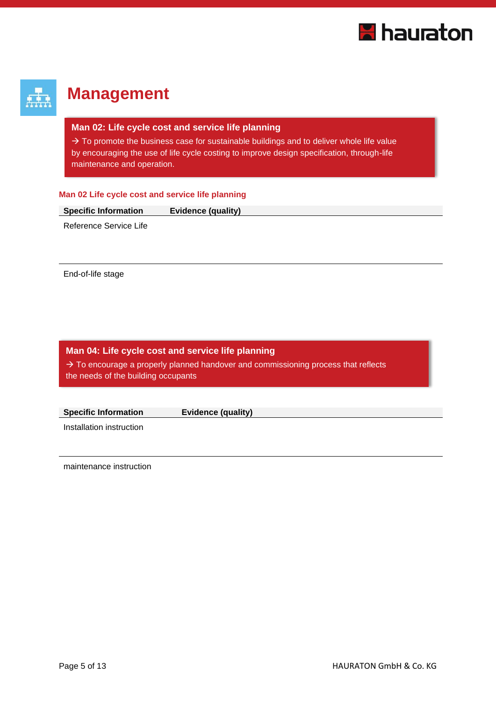

## **Management**

#### **Man 02: Life cycle cost and service life planning**

 $\rightarrow$  To promote the business case for sustainable buildings and to deliver whole life value by encouraging the use of life cycle costing to improve design specification, through-life maintenance and operation.

#### **Man 02 Life cycle cost and service life planning**

| <b>Specific Information</b> | <b>Evidence (quality)</b> |  |
|-----------------------------|---------------------------|--|
|                             |                           |  |

Reference Service Life

End-of-life stage

#### **Man 04: Life cycle cost and service life planning**

 $\rightarrow$  To encourage a properly planned handover and commissioning process that reflects the needs of the building occupants

| <b>Specific Information</b> | Evidence (quality) |  |
|-----------------------------|--------------------|--|
| Installation instruction    |                    |  |

maintenance instruction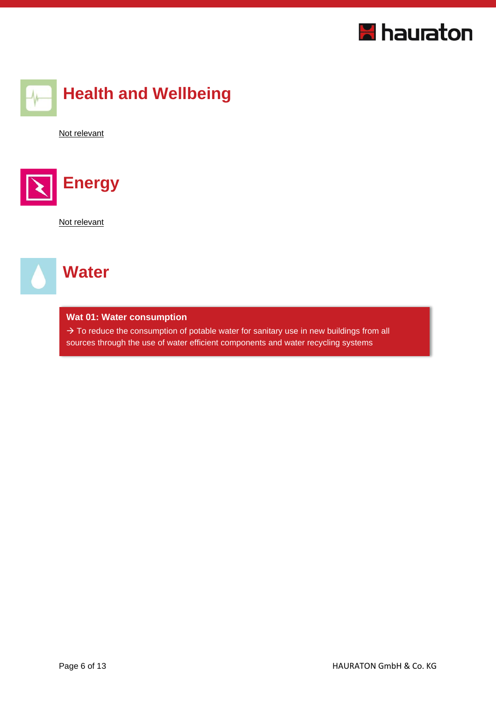



Not relevant



Not relevant



#### **Wat 01: Water consumption**

 $\rightarrow$  To reduce the consumption of potable water for sanitary use in new buildings from all sources through the use of water efficient components and water recycling systems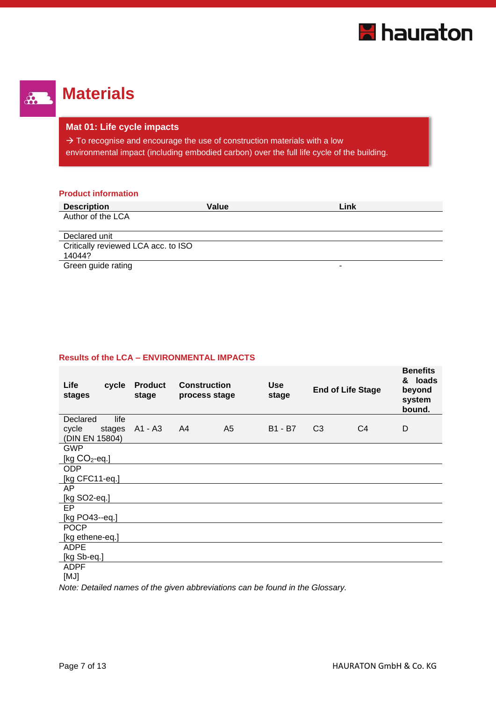



# **Materials**

#### **Mat 01: Life cycle impacts**

 $\rightarrow$  To recognise and encourage the use of construction materials with a low environmental impact (including embodied carbon) over the full life cycle of the building.

#### **Product information**

| <b>Description</b>                  | Value | Link |
|-------------------------------------|-------|------|
| Author of the LCA                   |       |      |
|                                     |       |      |
| Declared unit                       |       |      |
| Critically reviewed LCA acc. to ISO |       |      |
| 14044?                              |       |      |
| Array and the contract              |       |      |

Green guide rating

#### **Results of the LCA – ENVIRONMENTAL IMPACTS**

| Life<br>cycle<br>stages           | <b>Product</b><br>stage | <b>Construction</b><br>process stage |                | <b>Use</b><br>stage | <b>End of Life Stage</b> |                | <b>Benefits</b><br>& loads<br>beyond<br>system<br>bound. |
|-----------------------------------|-------------------------|--------------------------------------|----------------|---------------------|--------------------------|----------------|----------------------------------------------------------|
| Declared<br>life                  |                         |                                      |                |                     |                          |                |                                                          |
| cycle<br>stages<br>(DIN EN 15804) | A1 - A3                 | A4                                   | A <sub>5</sub> | B1 - B7             | C <sub>3</sub>           | C <sub>4</sub> | D                                                        |
| <b>GWP</b>                        |                         |                                      |                |                     |                          |                |                                                          |
| [kg $CO2$ -eq.]                   |                         |                                      |                |                     |                          |                |                                                          |
| <b>ODP</b>                        |                         |                                      |                |                     |                          |                |                                                          |
| [kg CFC11-eq.]                    |                         |                                      |                |                     |                          |                |                                                          |
| AP                                |                         |                                      |                |                     |                          |                |                                                          |
| [kg SO2-eq.]                      |                         |                                      |                |                     |                          |                |                                                          |
| EP                                |                         |                                      |                |                     |                          |                |                                                          |
| [kg PO43--eq.]                    |                         |                                      |                |                     |                          |                |                                                          |
| <b>POCP</b>                       |                         |                                      |                |                     |                          |                |                                                          |
| [kg ethene-eq.]                   |                         |                                      |                |                     |                          |                |                                                          |
| <b>ADPE</b>                       |                         |                                      |                |                     |                          |                |                                                          |
| [kg Sb-eq.]                       |                         |                                      |                |                     |                          |                |                                                          |
| <b>ADPF</b>                       |                         |                                      |                |                     |                          |                |                                                          |
| [MJ]                              |                         |                                      |                |                     |                          |                |                                                          |

*Note: Detailed names of the given abbreviations can be found in the Glossary.*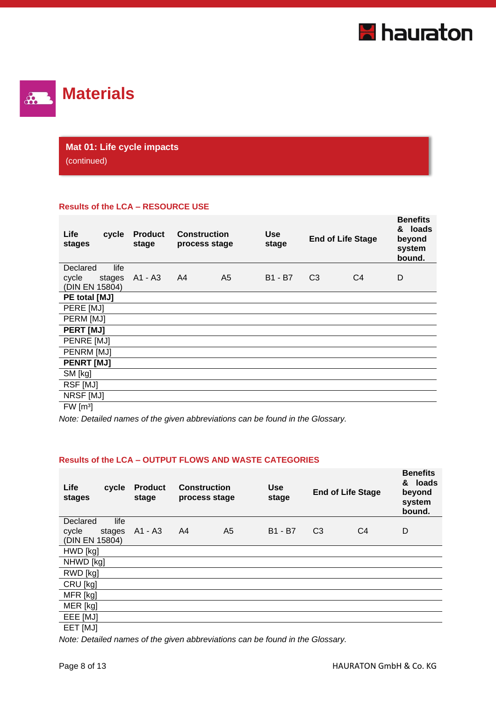



## **Mat 01: Life cycle impacts**

(continued)

#### **Results of the LCA – RESOURCE USE**

| Life<br>stages       | cycle  | <b>Product</b><br>stage | <b>Construction</b><br>process stage |                | Use<br>stage | <b>End of Life Stage</b> |                | <b>Benefits</b><br>& loads<br>beyond<br>system<br>bound. |
|----------------------|--------|-------------------------|--------------------------------------|----------------|--------------|--------------------------|----------------|----------------------------------------------------------|
| Declared             | life   |                         |                                      |                |              |                          |                |                                                          |
| cycle                | stages | A1 - A3                 | A4                                   | A <sub>5</sub> | B1 - B7      | C <sub>3</sub>           | C <sub>4</sub> | D                                                        |
| (DIN EN 15804)       |        |                         |                                      |                |              |                          |                |                                                          |
| PE total [MJ]        |        |                         |                                      |                |              |                          |                |                                                          |
| PERE [MJ]            |        |                         |                                      |                |              |                          |                |                                                          |
| PERM [MJ]            |        |                         |                                      |                |              |                          |                |                                                          |
| <b>PERT [MJ]</b>     |        |                         |                                      |                |              |                          |                |                                                          |
| PENRE [MJ]           |        |                         |                                      |                |              |                          |                |                                                          |
| PENRM [MJ]           |        |                         |                                      |                |              |                          |                |                                                          |
| <b>PENRT [MJ]</b>    |        |                         |                                      |                |              |                          |                |                                                          |
| SM [kg]              |        |                         |                                      |                |              |                          |                |                                                          |
| RSF [MJ]             |        |                         |                                      |                |              |                          |                |                                                          |
| NRSF [MJ]            |        |                         |                                      |                |              |                          |                |                                                          |
| FW [m <sup>3</sup> ] |        |                         |                                      |                |              |                          |                |                                                          |

*Note: Detailed names of the given abbreviations can be found in the Glossary.*

#### **Results of the LCA – OUTPUT FLOWS AND WASTE CATEGORIES**

| Life<br>cycle<br>stages | <b>Product</b><br>stage | <b>Construction</b><br>process stage |                | <b>Use</b><br><b>End of Life Stage</b><br>stage |                |                | <b>Benefits</b><br>& loads<br>beyond<br>system<br>bound. |
|-------------------------|-------------------------|--------------------------------------|----------------|-------------------------------------------------|----------------|----------------|----------------------------------------------------------|
| life<br>Declared        |                         |                                      |                |                                                 |                |                |                                                          |
| cycle<br>stages         | A1 - A3                 | A4                                   | A <sub>5</sub> | <b>B1 - B7</b>                                  | C <sub>3</sub> | C <sub>4</sub> | D                                                        |
| (DIN EN 15804)          |                         |                                      |                |                                                 |                |                |                                                          |
| HWD [kg]                |                         |                                      |                |                                                 |                |                |                                                          |
| NHWD [kg]               |                         |                                      |                |                                                 |                |                |                                                          |
| RWD [kg]                |                         |                                      |                |                                                 |                |                |                                                          |
| CRU [kg]                |                         |                                      |                |                                                 |                |                |                                                          |
| MFR [kg]                |                         |                                      |                |                                                 |                |                |                                                          |
| MER [kg]                |                         |                                      |                |                                                 |                |                |                                                          |
| EEE [MJ]                |                         |                                      |                |                                                 |                |                |                                                          |
| EET [MJ]                |                         |                                      |                |                                                 |                |                |                                                          |

*Note: Detailed names of the given abbreviations can be found in the Glossary.*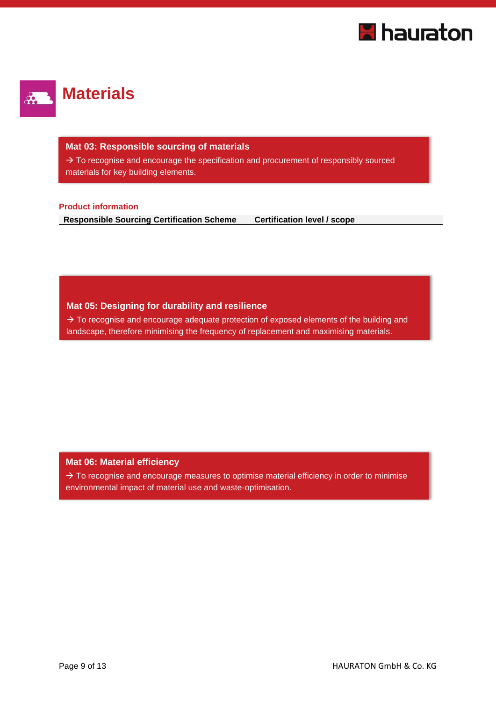



#### **Mat 03: Responsible sourcing of materials**

 $\rightarrow$  To recognise and encourage the specification and procurement of responsibly sourced materials for key building elements.

#### **Product information**

**Responsible Sourcing Certification Scheme Certification level / scope** 

#### **Mat 05: Designing for durability and resilience**

 $\rightarrow$  To recognise and encourage adequate protection of exposed elements of the building and landscape, therefore minimising the frequency of replacement and maximising materials.

#### **Mat 06: Material efficiency**

 $\rightarrow$  To recognise and encourage measures to optimise material efficiency in order to minimise environmental impact of material use and waste-optimisation.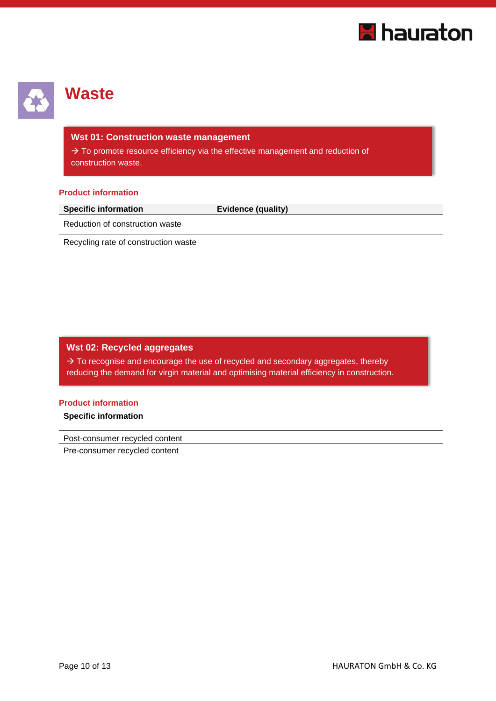



## **Waste**

#### **Wst 01: Construction waste management**

 $\rightarrow$  To promote resource efficiency via the effective management and reduction of construction waste.

#### **Product information**

**Evidence (quality)** 

Reduction of construction waste

Recycling rate of construction waste

#### **Wst 02: Recycled aggregates**

 $\rightarrow$  To recognise and encourage the use of recycled and secondary aggregates, thereby reducing the demand for virgin material and optimising material efficiency in construction.

#### **Product information**

**Specific information**

Post-consumer recycled content

Pre-consumer recycled content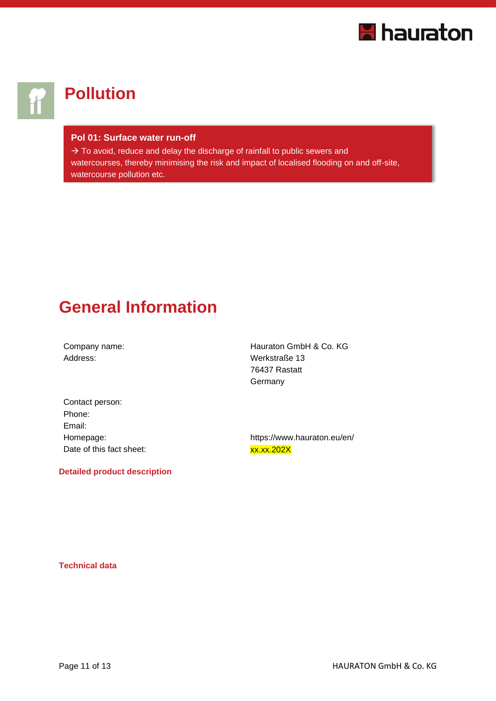

# **Pollution**

#### **Pol 01: Surface water run-off**

 $\rightarrow$  To avoid, reduce and delay the discharge of rainfall to public sewers and watercourses, thereby minimising the risk and impact of localised flooding on and off-site, watercourse pollution etc.

## **General Information**

Address: Werkstraße 13

Company name: General According Management Company hauraton GmbH & Co. KG 76437 Rastatt **Germany** 

| Contact person:          |
|--------------------------|
| Phone:                   |
| Email:                   |
| Homepage:                |
| Date of this fact sheet: |

**Detailed product description**

https://www.hauraton.eu/en/ xx.xx.202X

**Technical data**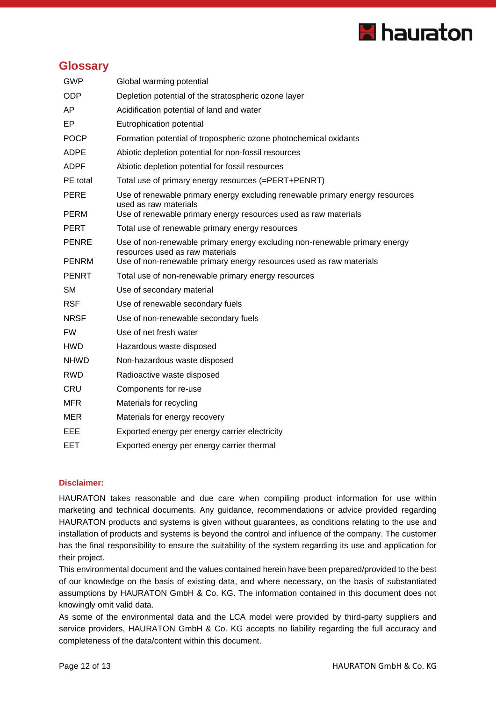

#### **Glossary**

| <b>GWP</b>   | Global warming potential                                                                                      |
|--------------|---------------------------------------------------------------------------------------------------------------|
| <b>ODP</b>   | Depletion potential of the stratospheric ozone layer                                                          |
| AP           | Acidification potential of land and water                                                                     |
| EP           | Eutrophication potential                                                                                      |
| <b>POCP</b>  | Formation potential of tropospheric ozone photochemical oxidants                                              |
| <b>ADPE</b>  | Abiotic depletion potential for non-fossil resources                                                          |
| <b>ADPF</b>  | Abiotic depletion potential for fossil resources                                                              |
| PE total     | Total use of primary energy resources (=PERT+PENRT)                                                           |
| <b>PERE</b>  | Use of renewable primary energy excluding renewable primary energy resources<br>used as raw materials         |
| <b>PERM</b>  | Use of renewable primary energy resources used as raw materials                                               |
| <b>PERT</b>  | Total use of renewable primary energy resources                                                               |
| <b>PENRE</b> | Use of non-renewable primary energy excluding non-renewable primary energy<br>resources used as raw materials |
| <b>PENRM</b> | Use of non-renewable primary energy resources used as raw materials                                           |
| <b>PENRT</b> | Total use of non-renewable primary energy resources                                                           |
| <b>SM</b>    | Use of secondary material                                                                                     |
| <b>RSF</b>   | Use of renewable secondary fuels                                                                              |
| <b>NRSF</b>  | Use of non-renewable secondary fuels                                                                          |
| <b>FW</b>    | Use of net fresh water                                                                                        |
| <b>HWD</b>   | Hazardous waste disposed                                                                                      |
| <b>NHWD</b>  | Non-hazardous waste disposed                                                                                  |
| <b>RWD</b>   | Radioactive waste disposed                                                                                    |
| <b>CRU</b>   | Components for re-use                                                                                         |
| MFR          | Materials for recycling                                                                                       |
| <b>MER</b>   | Materials for energy recovery                                                                                 |
| EEE          | Exported energy per energy carrier electricity                                                                |
| <b>EET</b>   | Exported energy per energy carrier thermal                                                                    |

#### **Disclaimer:**

HAURATON takes reasonable and due care when compiling product information for use within marketing and technical documents. Any guidance, recommendations or advice provided regarding HAURATON products and systems is given without guarantees, as conditions relating to the use and installation of products and systems is beyond the control and influence of the company. The customer has the final responsibility to ensure the suitability of the system regarding its use and application for their project.

This environmental document and the values contained herein have been prepared/provided to the best of our knowledge on the basis of existing data, and where necessary, on the basis of substantiated assumptions by HAURATON GmbH & Co. KG. The information contained in this document does not knowingly omit valid data.

As some of the environmental data and the LCA model were provided by third-party suppliers and service providers, HAURATON GmbH & Co. KG accepts no liability regarding the full accuracy and completeness of the data/content within this document.